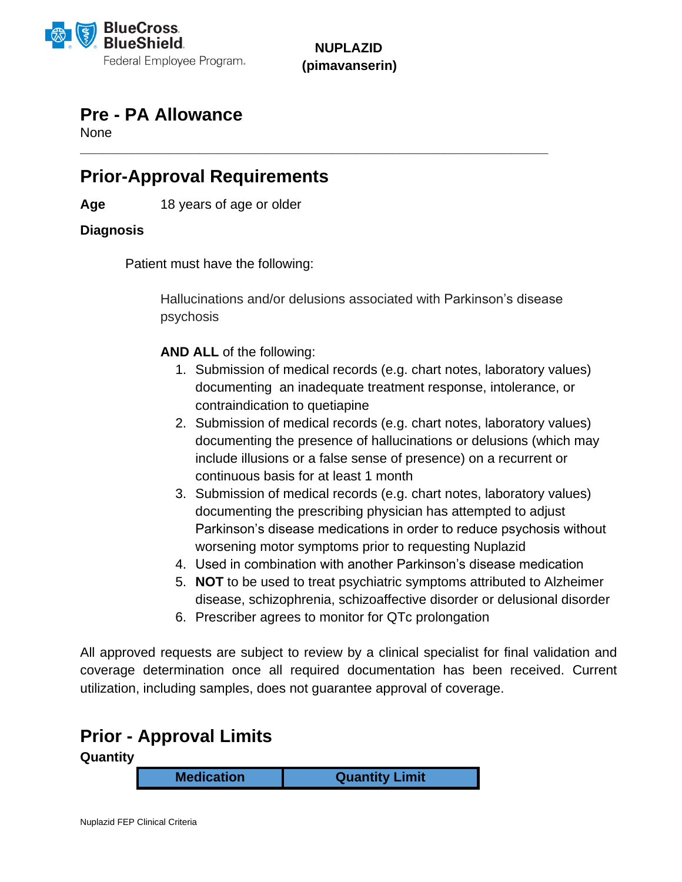

**NUPLAZID (pimavanserin)**

**\_\_\_\_\_\_\_\_\_\_\_\_\_\_\_\_\_\_\_\_\_\_\_\_\_\_\_\_\_\_\_\_\_\_\_\_\_\_\_\_\_\_\_\_\_\_\_\_\_\_\_\_\_\_\_\_\_\_\_\_\_\_\_**

### **Pre - PA Allowance**

**None** 

# **Prior-Approval Requirements**

**Age** 18 years of age or older

#### **Diagnosis**

Patient must have the following:

Hallucinations and/or delusions associated with Parkinson's disease psychosis

**AND ALL** of the following:

- 1. Submission of medical records (e.g. chart notes, laboratory values) documenting an inadequate treatment response, intolerance, or contraindication to quetiapine
- 2. Submission of medical records (e.g. chart notes, laboratory values) documenting the presence of hallucinations or delusions (which may include illusions or a false sense of presence) on a recurrent or continuous basis for at least 1 month
- 3. Submission of medical records (e.g. chart notes, laboratory values) documenting the prescribing physician has attempted to adjust Parkinson's disease medications in order to reduce psychosis without worsening motor symptoms prior to requesting Nuplazid
- 4. Used in combination with another Parkinson's disease medication
- 5. **NOT** to be used to treat psychiatric symptoms attributed to Alzheimer disease, schizophrenia, schizoaffective disorder or delusional disorder
- 6. Prescriber agrees to monitor for QTc prolongation

All approved requests are subject to review by a clinical specialist for final validation and coverage determination once all required documentation has been received. Current utilization, including samples, does not guarantee approval of coverage.

### **Prior - Approval Limits**

**Quantity** 

**Medication Quantity Limit**